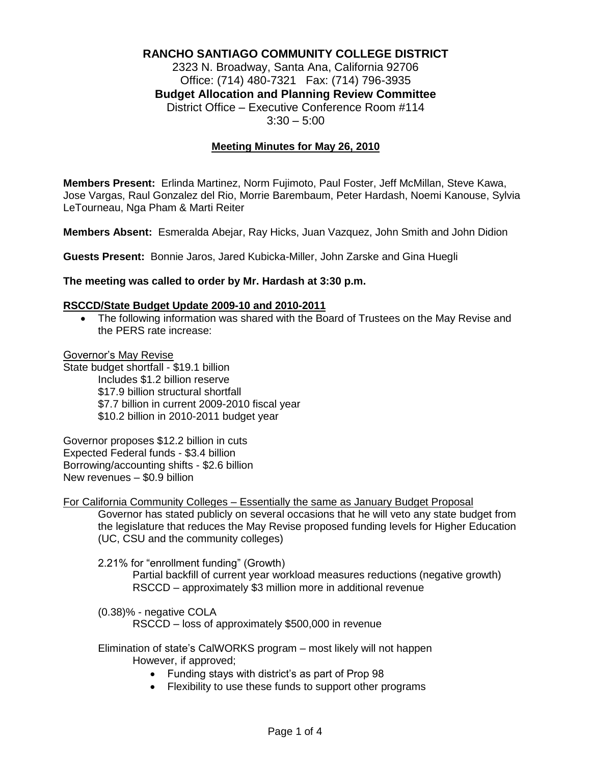# **RANCHO SANTIAGO COMMUNITY COLLEGE DISTRICT**

2323 N. Broadway, Santa Ana, California 92706 Office: (714) 480-7321 Fax: (714) 796-3935 **Budget Allocation and Planning Review Committee** District Office – Executive Conference Room #114  $3:30 - 5:00$ 

#### **Meeting Minutes for May 26, 2010**

**Members Present:** Erlinda Martinez, Norm Fujimoto, Paul Foster, Jeff McMillan, Steve Kawa, Jose Vargas, Raul Gonzalez del Rio, Morrie Barembaum, Peter Hardash, Noemi Kanouse, Sylvia LeTourneau, Nga Pham & Marti Reiter

**Members Absent:** Esmeralda Abejar, Ray Hicks, Juan Vazquez, John Smith and John Didion

**Guests Present:** Bonnie Jaros, Jared Kubicka-Miller, John Zarske and Gina Huegli

#### **The meeting was called to order by Mr. Hardash at 3:30 p.m.**

#### **RSCCD/State Budget Update 2009-10 and 2010-2011**

 The following information was shared with the Board of Trustees on the May Revise and the PERS rate increase:

#### Governor's May Revise

State budget shortfall - \$19.1 billion Includes \$1.2 billion reserve \$17.9 billion structural shortfall \$7.7 billion in current 2009-2010 fiscal year \$10.2 billion in 2010-2011 budget year

Governor proposes \$12.2 billion in cuts Expected Federal funds - \$3.4 billion Borrowing/accounting shifts - \$2.6 billion New revenues – \$0.9 billion

For California Community Colleges – Essentially the same as January Budget Proposal

Governor has stated publicly on several occasions that he will veto any state budget from the legislature that reduces the May Revise proposed funding levels for Higher Education (UC, CSU and the community colleges)

2.21% for "enrollment funding" (Growth)

Partial backfill of current year workload measures reductions (negative growth) RSCCD – approximately \$3 million more in additional revenue

(0.38)% - negative COLA RSCCD – loss of approximately \$500,000 in revenue

Elimination of state's CalWORKS program – most likely will not happen However, if approved;

- Funding stays with district's as part of Prop 98
- Flexibility to use these funds to support other programs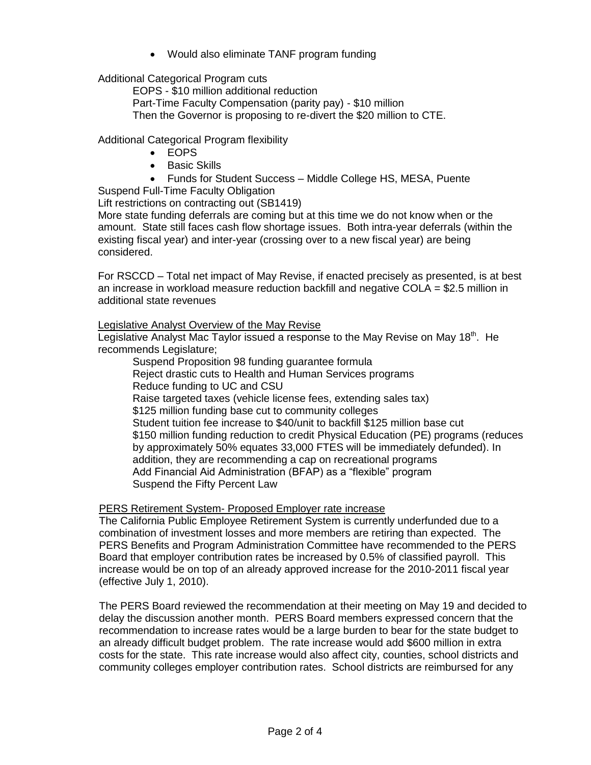Would also eliminate TANF program funding

Additional Categorical Program cuts

EOPS - \$10 million additional reduction Part-Time Faculty Compensation (parity pay) - \$10 million Then the Governor is proposing to re-divert the \$20 million to CTE.

Additional Categorical Program flexibility

- EOPS
- Basic Skills
- Funds for Student Success Middle College HS, MESA, Puente

Suspend Full-Time Faculty Obligation

Lift restrictions on contracting out (SB1419)

More state funding deferrals are coming but at this time we do not know when or the amount. State still faces cash flow shortage issues. Both intra-year deferrals (within the existing fiscal year) and inter-year (crossing over to a new fiscal year) are being considered.

For RSCCD – Total net impact of May Revise, if enacted precisely as presented, is at best an increase in workload measure reduction backfill and negative COLA = \$2.5 million in additional state revenues

Legislative Analyst Overview of the May Revise

Legislative Analyst Mac Taylor issued a response to the May Revise on May 18<sup>th</sup>. He recommends Legislature;

Suspend Proposition 98 funding guarantee formula Reject drastic cuts to Health and Human Services programs Reduce funding to UC and CSU Raise targeted taxes (vehicle license fees, extending sales tax) \$125 million funding base cut to community colleges Student tuition fee increase to \$40/unit to backfill \$125 million base cut \$150 million funding reduction to credit Physical Education (PE) programs (reduces by approximately 50% equates 33,000 FTES will be immediately defunded). In addition, they are recommending a cap on recreational programs Add Financial Aid Administration (BFAP) as a "flexible" program Suspend the Fifty Percent Law

PERS Retirement System- Proposed Employer rate increase

The California Public Employee Retirement System is currently underfunded due to a combination of investment losses and more members are retiring than expected. The PERS Benefits and Program Administration Committee have recommended to the PERS Board that employer contribution rates be increased by 0.5% of classified payroll. This increase would be on top of an already approved increase for the 2010-2011 fiscal year (effective July 1, 2010).

The PERS Board reviewed the recommendation at their meeting on May 19 and decided to delay the discussion another month. PERS Board members expressed concern that the recommendation to increase rates would be a large burden to bear for the state budget to an already difficult budget problem. The rate increase would add \$600 million in extra costs for the state. This rate increase would also affect city, counties, school districts and community colleges employer contribution rates. School districts are reimbursed for any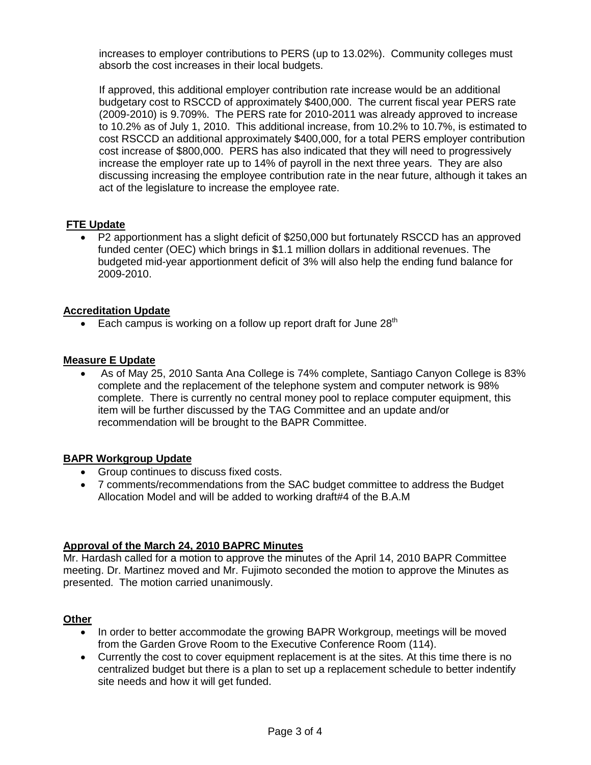increases to employer contributions to PERS (up to 13.02%). Community colleges must absorb the cost increases in their local budgets.

If approved, this additional employer contribution rate increase would be an additional budgetary cost to RSCCD of approximately \$400,000. The current fiscal year PERS rate (2009-2010) is 9.709%. The PERS rate for 2010-2011 was already approved to increase to 10.2% as of July 1, 2010. This additional increase, from 10.2% to 10.7%, is estimated to cost RSCCD an additional approximately \$400,000, for a total PERS employer contribution cost increase of \$800,000. PERS has also indicated that they will need to progressively increase the employer rate up to 14% of payroll in the next three years. They are also discussing increasing the employee contribution rate in the near future, although it takes an act of the legislature to increase the employee rate.

# **FTE Update**

 P2 apportionment has a slight deficit of \$250,000 but fortunately RSCCD has an approved funded center (OEC) which brings in \$1.1 million dollars in additional revenues. The budgeted mid-year apportionment deficit of 3% will also help the ending fund balance for 2009-2010.

### **Accreditation Update**

Each campus is working on a follow up report draft for June  $28<sup>th</sup>$ 

### **Measure E Update**

 As of May 25, 2010 Santa Ana College is 74% complete, Santiago Canyon College is 83% complete and the replacement of the telephone system and computer network is 98% complete. There is currently no central money pool to replace computer equipment, this item will be further discussed by the TAG Committee and an update and/or recommendation will be brought to the BAPR Committee.

### **BAPR Workgroup Update**

- Group continues to discuss fixed costs.
- 7 comments/recommendations from the SAC budget committee to address the Budget Allocation Model and will be added to working draft#4 of the B.A.M

## **Approval of the March 24, 2010 BAPRC Minutes**

Mr. Hardash called for a motion to approve the minutes of the April 14, 2010 BAPR Committee meeting. Dr. Martinez moved and Mr. Fujimoto seconded the motion to approve the Minutes as presented. The motion carried unanimously.

### **Other**

- In order to better accommodate the growing BAPR Workgroup, meetings will be moved from the Garden Grove Room to the Executive Conference Room (114).
- Currently the cost to cover equipment replacement is at the sites. At this time there is no centralized budget but there is a plan to set up a replacement schedule to better indentify site needs and how it will get funded.